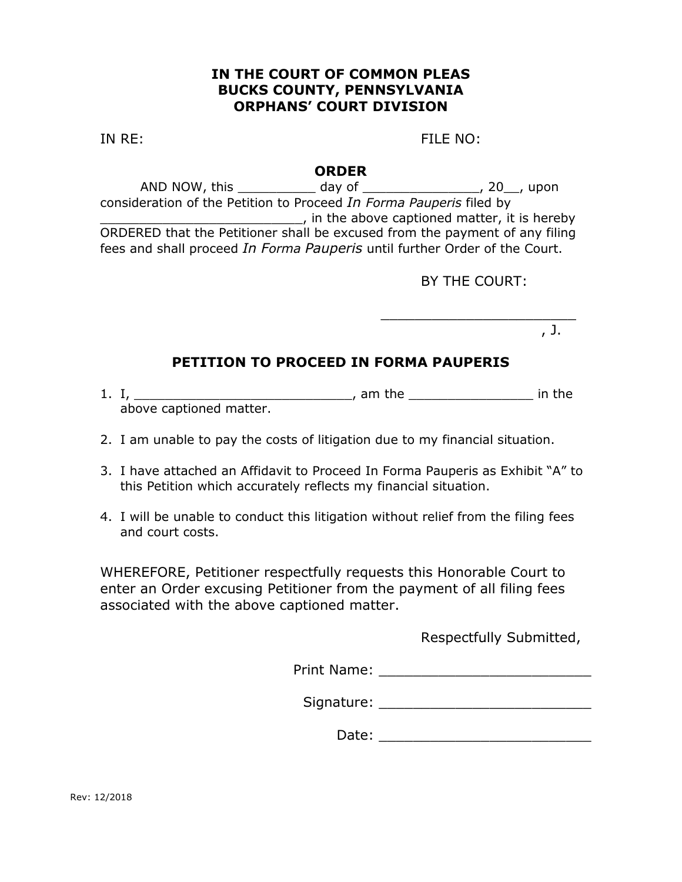### **IN THE COURT OF COMMON PLEAS BUCKS COUNTY, PENNSYLVANIA ORPHANS' COURT DIVISION**

IN RE: FILE NO:

#### **ORDER**

AND NOW, this day of the case of the contract of the contract of the contract of the contract of the contract o consideration of the Petition to Proceed *In Forma Pauperis* filed by \_\_\_\_\_\_\_\_\_\_\_\_\_\_\_\_\_\_\_\_\_\_\_\_\_\_, in the above captioned matter, it is hereby ORDERED that the Petitioner shall be excused from the payment of any filing fees and shall proceed *In Forma Pauperis* until further Order of the Court.

BY THE COURT:

\_\_\_\_\_\_\_\_\_\_\_\_\_\_\_\_\_\_\_\_\_\_\_

, J.

# **PETITION TO PROCEED IN FORMA PAUPERIS**

- 1. I, \_\_\_\_\_\_\_\_\_\_\_\_\_\_\_\_\_\_\_\_\_\_\_\_\_\_\_\_, am the \_\_\_\_\_\_\_\_\_\_\_\_\_\_\_\_ in the above captioned matter.
- 2. I am unable to pay the costs of litigation due to my financial situation.
- 3. I have attached an Affidavit to Proceed In Forma Pauperis as Exhibit "A" to this Petition which accurately reflects my financial situation.
- 4. I will be unable to conduct this litigation without relief from the filing fees and court costs.

WHEREFORE, Petitioner respectfully requests this Honorable Court to enter an Order excusing Petitioner from the payment of all filing fees associated with the above captioned matter.

Respectfully Submitted,

Print Name: \_\_\_\_\_\_\_\_\_\_\_\_\_\_\_\_\_\_\_\_\_\_\_\_\_

Signature: \_\_\_\_\_\_\_\_\_\_\_\_\_\_\_\_\_\_\_\_\_\_\_\_\_

Date:  $\Box$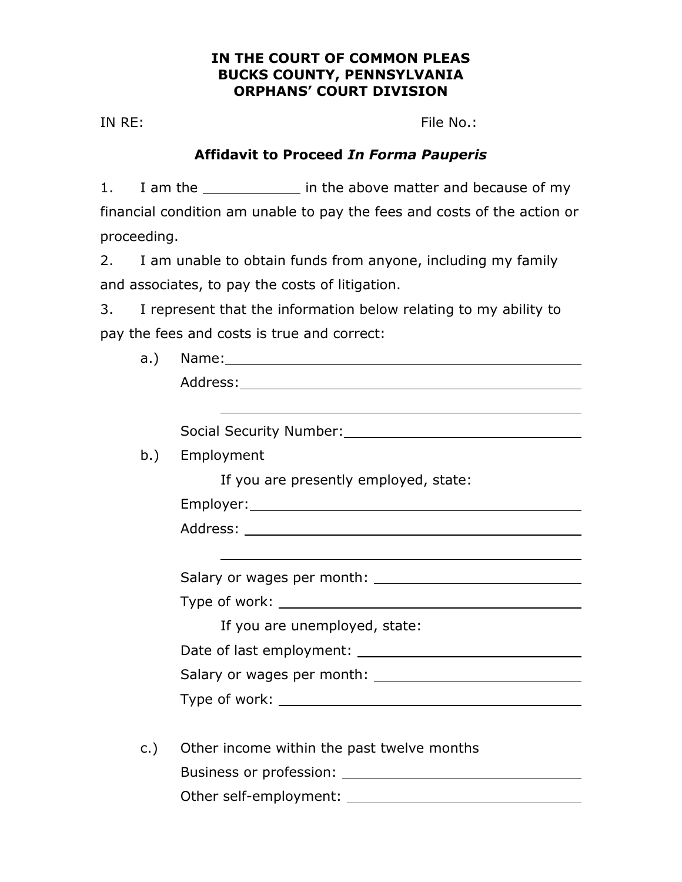### **IN THE COURT OF COMMON PLEAS BUCKS COUNTY, PENNSYLVANIA ORPHANS' COURT DIVISION**

IN RE: File No.:

## **Affidavit to Proceed** *In Forma Pauperis*

1. I am the \_\_\_\_\_\_\_\_\_\_\_\_\_ in the above matter and because of my financial condition am unable to pay the fees and costs of the action or proceeding.

2. I am unable to obtain funds from anyone, including my family and associates, to pay the costs of litigation.

3. I represent that the information below relating to my ability to pay the fees and costs is true and correct:

| a.) |                                            |  |  |
|-----|--------------------------------------------|--|--|
|     |                                            |  |  |
|     |                                            |  |  |
|     |                                            |  |  |
| b.) | Employment                                 |  |  |
|     | If you are presently employed, state:      |  |  |
|     |                                            |  |  |
|     |                                            |  |  |
|     |                                            |  |  |
|     |                                            |  |  |
|     |                                            |  |  |
|     | If you are unemployed, state:              |  |  |
|     |                                            |  |  |
|     |                                            |  |  |
|     |                                            |  |  |
|     |                                            |  |  |
| c.) | Other income within the past twelve months |  |  |
|     |                                            |  |  |
|     |                                            |  |  |
|     |                                            |  |  |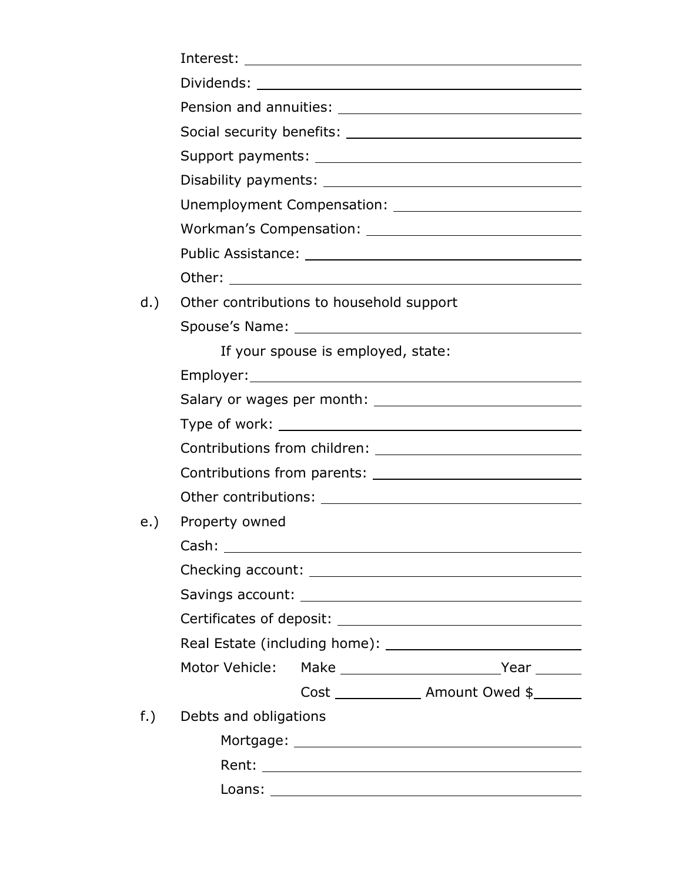|     | Interest:<br><u> 1989 - Johann Barbara, martxa alemaniar amerikan a</u>                                                        |  |  |
|-----|--------------------------------------------------------------------------------------------------------------------------------|--|--|
|     |                                                                                                                                |  |  |
|     |                                                                                                                                |  |  |
|     |                                                                                                                                |  |  |
|     |                                                                                                                                |  |  |
|     |                                                                                                                                |  |  |
|     |                                                                                                                                |  |  |
|     |                                                                                                                                |  |  |
|     |                                                                                                                                |  |  |
|     | Other:<br><u> 1989 - Johann John Stein, markin fan it fjort fan de ferstjer fan de ferstjer fan de ferstjer fan de ferstje</u> |  |  |
| d.) | Other contributions to household support                                                                                       |  |  |
|     |                                                                                                                                |  |  |
|     | If your spouse is employed, state:                                                                                             |  |  |
|     |                                                                                                                                |  |  |
|     |                                                                                                                                |  |  |
|     |                                                                                                                                |  |  |
|     |                                                                                                                                |  |  |
|     |                                                                                                                                |  |  |
|     | Other contributions: University of the contributions:                                                                          |  |  |
| e.) | Property owned                                                                                                                 |  |  |
|     | Cash:<br><u> Alexandria de la construcción de la construcción de la construcción de la construcción de la construcción de</u>  |  |  |
|     |                                                                                                                                |  |  |
|     |                                                                                                                                |  |  |
|     |                                                                                                                                |  |  |
|     |                                                                                                                                |  |  |
|     |                                                                                                                                |  |  |
|     | Cost _______________ Amount Owed \$_______                                                                                     |  |  |
| f.) | Debts and obligations                                                                                                          |  |  |
|     |                                                                                                                                |  |  |
|     |                                                                                                                                |  |  |
|     |                                                                                                                                |  |  |